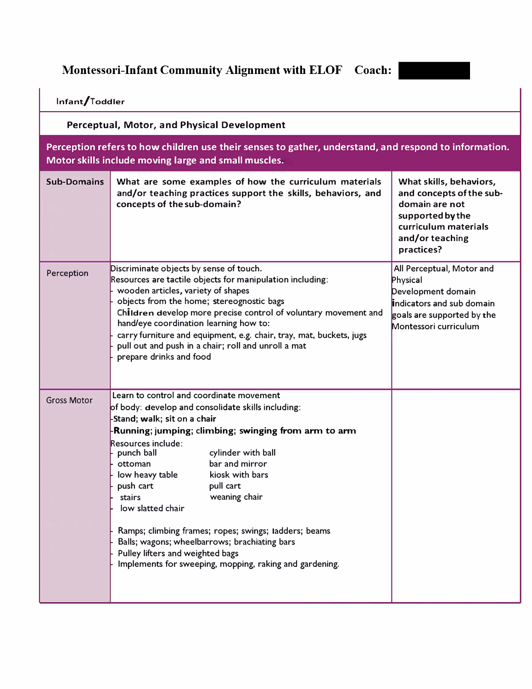**Montessori-Infant Community Alignment with ELOF Coach:** 

| Infant/Toddler                                                                                                                                                |                                                                                                                                                                                                                                                                                                                                                                                                                                                                                                                                                                                                        |                                                                                                                                                    |  |  |  |  |
|---------------------------------------------------------------------------------------------------------------------------------------------------------------|--------------------------------------------------------------------------------------------------------------------------------------------------------------------------------------------------------------------------------------------------------------------------------------------------------------------------------------------------------------------------------------------------------------------------------------------------------------------------------------------------------------------------------------------------------------------------------------------------------|----------------------------------------------------------------------------------------------------------------------------------------------------|--|--|--|--|
| <b>Perceptual, Motor, and Physical Development</b>                                                                                                            |                                                                                                                                                                                                                                                                                                                                                                                                                                                                                                                                                                                                        |                                                                                                                                                    |  |  |  |  |
| Perception refers to how children use their senses to gather, understand, and respond to information.<br>Motor skills include moving large and small muscles. |                                                                                                                                                                                                                                                                                                                                                                                                                                                                                                                                                                                                        |                                                                                                                                                    |  |  |  |  |
| <b>Sub-Domains</b>                                                                                                                                            | What are some examples of how the curriculum materials<br>and/or teaching practices support the skills, behaviors, and<br>concepts of the sub-domain?                                                                                                                                                                                                                                                                                                                                                                                                                                                  | What skills, behaviors,<br>and concepts of the sub-<br>domain are not<br>supported by the<br>curriculum materials<br>and/or teaching<br>practices? |  |  |  |  |
| Perception                                                                                                                                                    | Discriminate objects by sense of touch.<br>Resources are tactile objects for manipulation including:<br>wooden articles, variety of shapes<br>objects from the home; stereognostic bags<br>Children develop more precise control of voluntary movement and<br>hand/eye coordination learning how to:<br>carry furniture and equipment, e.g. chair, tray, mat, buckets, jugs<br>pull out and push in a chair; roll and unroll a mat<br>prepare drinks and food                                                                                                                                          | All Perceptual, Motor and<br>Physical<br>Development domain<br>indicators and sub domain<br>goals are supported by the<br>Montessori curriculum    |  |  |  |  |
| <b>Gross Motor</b>                                                                                                                                            | Learn to control and coordinate movement<br>of body: develop and consolidate skills including:<br>-Stand; walk; sit on a chair<br>Running; jumping; climbing; swinging from arm to arm<br>Resources include:<br>cylinder with ball<br>punch ball<br>bar and mirror<br>ottoman<br>low heavy table<br>kiosk with bars<br>pull cart<br>push cart<br>stairs<br>weaning chair<br>low slatted chair<br>Ramps; climbing frames; ropes; swings; tadders; beams<br>Balls; wagons; wheelbarrows; brachiating bars<br>Pulley lifters and weighted bags<br>Implements for sweeping, mopping, raking and gardening. |                                                                                                                                                    |  |  |  |  |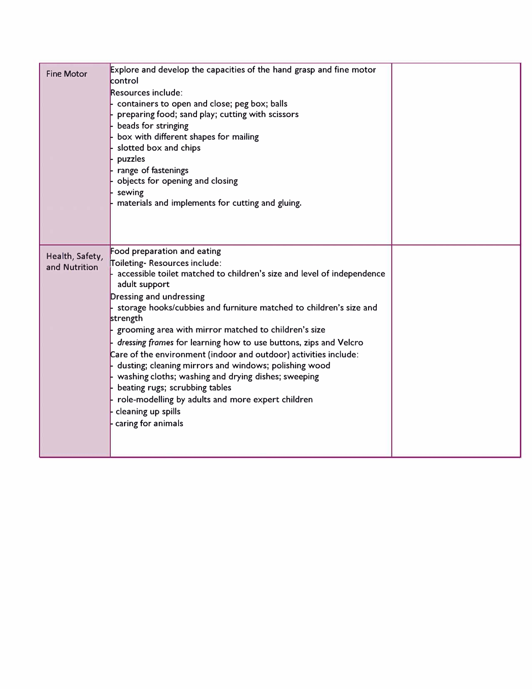| <b>Fine Motor</b>                | Explore and develop the capacities of the hand grasp and fine motor<br>control<br>Resources include:<br>containers to open and close; peg box; balls<br>preparing food; sand play; cutting with scissors<br>beads for stringing<br>box with different shapes for mailing<br>slotted box and chips<br>puzzles<br>range of fastenings<br>objects for opening and closing<br>sewing<br>materials and implements for cutting and gluing.                                                                                                                                                                                                                                                                                   |  |
|----------------------------------|------------------------------------------------------------------------------------------------------------------------------------------------------------------------------------------------------------------------------------------------------------------------------------------------------------------------------------------------------------------------------------------------------------------------------------------------------------------------------------------------------------------------------------------------------------------------------------------------------------------------------------------------------------------------------------------------------------------------|--|
| Health, Safety,<br>and Nutrition | Food preparation and eating<br>Toileting-Resources include:<br>accessible toilet matched to children's size and level of independence<br>adult support<br>Dressing and undressing<br>storage hooks/cubbies and furniture matched to children's size and<br>strength<br>grooming area with mirror matched to children's size<br>dressing frames for learning how to use buttons, zips and Velcro<br>Care of the environment (indoor and outdoor) activities include:<br>dusting; cleaning mirrors and windows; polishing wood<br>washing cloths; washing and drying dishes; sweeping<br>beating rugs; scrubbing tables<br>role-modelling by adults and more expert children<br>cleaning up spills<br>caring for animals |  |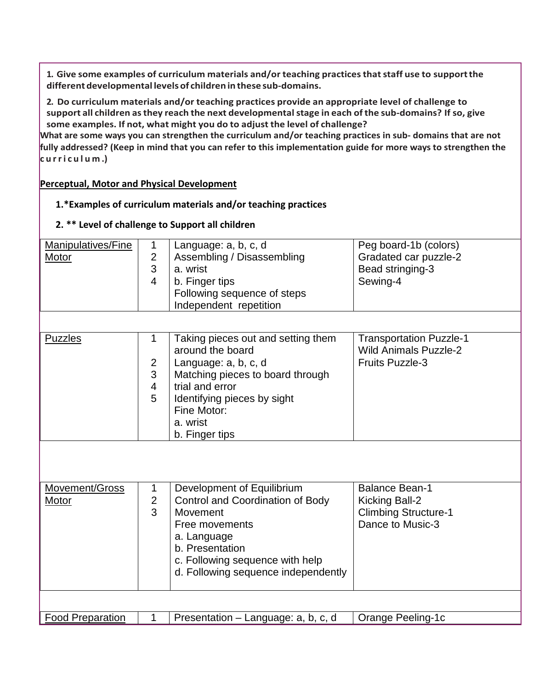**1. Give some examples of curriculum materials and/or teaching practicesthatstaff use to supportthe differentdevelopmental levelsof children in these sub-domains.**

**2. Do curriculum materials and/or teaching practices provide an appropriate level of challenge to support all children asthey reach the next developmentalstage in each of the sub-domains? If so, give some examples. If not, what might you do to adjust the level of challenge?**

**What are some ways you can strengthen the curriculum and/or teaching practices in sub- domains that are not fully addressed? (Keep in mind that you can refer to this implementation guide for more ways to strengthen the curriculum .)**

## **Perceptual, Motor and Physical Development**

## **1.\*Examples of curriculum materials and/or teaching practices**

**2. \*\* Level of challenge to Support all children**

| Manipulatives/Fine<br>Motor | 1<br>$\overline{\mathbf{c}}$<br>3<br>$\overline{4}$ | Language: a, b, c, d<br>Assembling / Disassembling<br>a. wrist<br>b. Finger tips<br>Following sequence of steps<br>Independent repetition                                                                         | Peg board-1b (colors)<br>Gradated car puzzle-2<br>Bead stringing-3<br>Sewing-4             |
|-----------------------------|-----------------------------------------------------|-------------------------------------------------------------------------------------------------------------------------------------------------------------------------------------------------------------------|--------------------------------------------------------------------------------------------|
| <b>Puzzles</b>              | 1<br>$\overline{2}$<br>3<br>4<br>5                  | Taking pieces out and setting them<br>around the board<br>Language: a, b, c, d<br>Matching pieces to board through<br>trial and error<br>Identifying pieces by sight<br>Fine Motor:<br>a. wrist<br>b. Finger tips | <b>Transportation Puzzle-1</b><br><b>Wild Animals Puzzle-2</b><br><b>Fruits Puzzle-3</b>   |
| Movement/Gross<br>Motor     | $\mathbf 1$<br>$\mathbf 2$<br>3                     | Development of Equilibrium<br>Control and Coordination of Body<br>Movement<br>Free movements<br>a. Language<br>b. Presentation<br>c. Following sequence with help<br>d. Following sequence independently          | <b>Balance Bean-1</b><br>Kicking Ball-2<br><b>Climbing Structure-1</b><br>Dance to Music-3 |
|                             |                                                     |                                                                                                                                                                                                                   |                                                                                            |
| <b>Food Preparation</b>     | 1                                                   | Presentation - Language: a, b, c, d                                                                                                                                                                               | Orange Peeling-1c                                                                          |